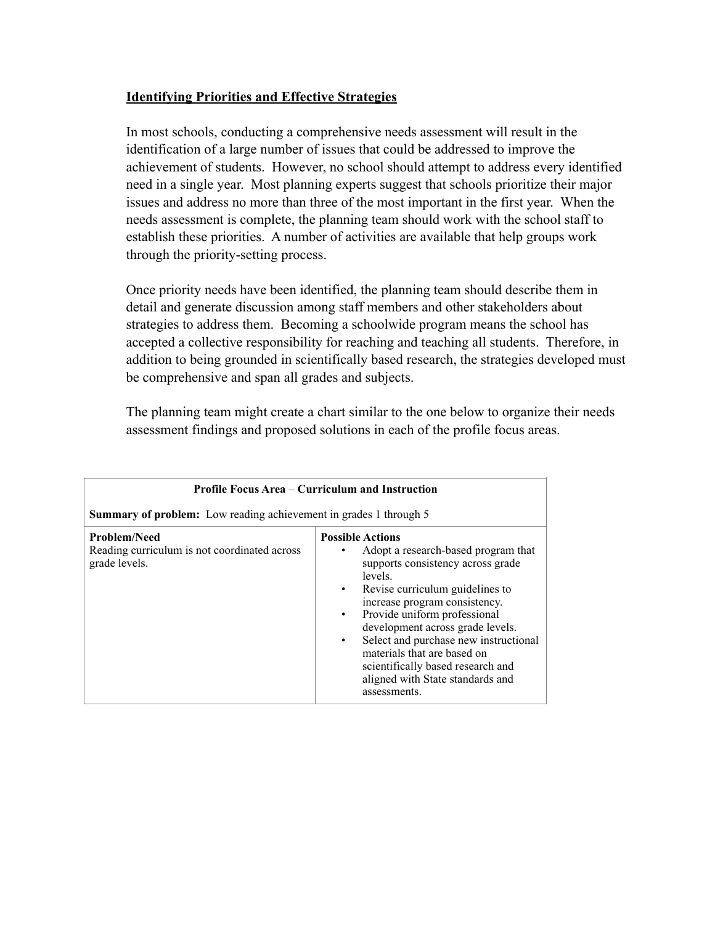## **Identifying Priorities and Effective Strategies**

In most schools, conducting a comprehensive needs assessment will result in the identification of a large number of issues that could be addressed to improve the achievement of students. However, no school should attempt to address every identified need in a single year. Most planning experts suggest that schools prioritize their major issues and address no more than three of the most important in the first year. When the needs assessment is complete, the planning team should work with the school staff to establish these priorities. A number of activities are available that help groups work through the priority-setting process.

Once priority needs have been identified, the planning team should describe them in detail and generate discussion among staff members and other stakeholders about strategies to address them. Becoming a schoolwide program means the school has accepted a collective responsibility for reaching and teaching all students. Therefore, in addition to being grounded in scientifically based research, the strategies developed must be comprehensive and span all grades and subjects.

The planning team might create a chart similar to the one below to organize their needs assessment findings and proposed solutions in each of the profile focus areas.

| <b>Profile Focus Area – Curriculum and Instruction</b><br><b>Summary of problem:</b> Low reading achievement in grades 1 through 5 |                                                                                                                                                                                                                                                                                                                                                                                                                                                                             |
|------------------------------------------------------------------------------------------------------------------------------------|-----------------------------------------------------------------------------------------------------------------------------------------------------------------------------------------------------------------------------------------------------------------------------------------------------------------------------------------------------------------------------------------------------------------------------------------------------------------------------|
| <b>Problem/Need</b><br>Reading curriculum is not coordinated across<br>grade levels.                                               | <b>Possible Actions</b><br>Adopt a research-based program that<br>$\bullet$<br>supports consistency across grade<br>levels.<br>Revise curriculum guidelines to<br>$\bullet$<br>increase program consistency.<br>Provide uniform professional<br>$\bullet$<br>development across grade levels.<br>Select and purchase new instructional<br>$\bullet$<br>materials that are based on<br>scientifically based research and<br>aligned with State standards and<br>assessments. |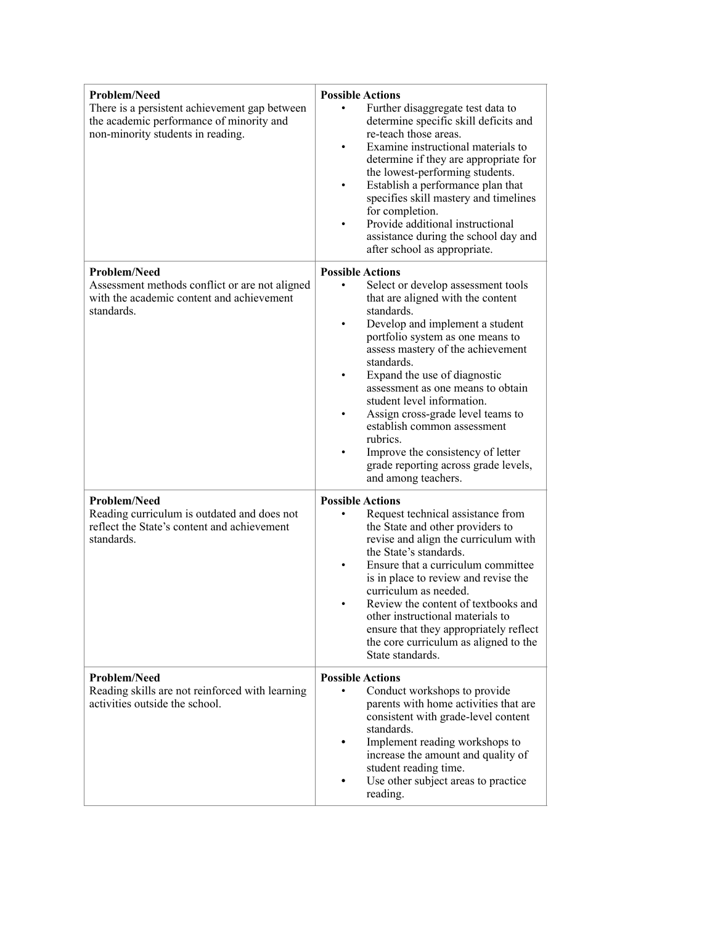| <b>Problem/Need</b><br>There is a persistent achievement gap between<br>the academic performance of minority and<br>non-minority students in reading. | <b>Possible Actions</b><br>Further disaggregate test data to<br>determine specific skill deficits and<br>re-teach those areas.<br>Examine instructional materials to<br>determine if they are appropriate for<br>the lowest-performing students.<br>Establish a performance plan that<br>specifies skill mastery and timelines<br>for completion.<br>Provide additional instructional<br>assistance during the school day and<br>after school as appropriate.                                                                     |
|-------------------------------------------------------------------------------------------------------------------------------------------------------|-----------------------------------------------------------------------------------------------------------------------------------------------------------------------------------------------------------------------------------------------------------------------------------------------------------------------------------------------------------------------------------------------------------------------------------------------------------------------------------------------------------------------------------|
| Problem/Need<br>Assessment methods conflict or are not aligned<br>with the academic content and achievement<br>standards.                             | <b>Possible Actions</b><br>Select or develop assessment tools<br>that are aligned with the content<br>standards.<br>Develop and implement a student<br>portfolio system as one means to<br>assess mastery of the achievement<br>standards.<br>Expand the use of diagnostic<br>assessment as one means to obtain<br>student level information.<br>Assign cross-grade level teams to<br>establish common assessment<br>rubrics.<br>Improve the consistency of letter<br>grade reporting across grade levels,<br>and among teachers. |
| <b>Problem/Need</b><br>Reading curriculum is outdated and does not<br>reflect the State's content and achievement<br>standards.                       | <b>Possible Actions</b><br>Request technical assistance from<br>٠<br>the State and other providers to<br>revise and align the curriculum with<br>the State's standards.<br>Ensure that a curriculum committee<br>is in place to review and revise the<br>curriculum as needed.<br>Review the content of textbooks and<br>other instructional materials to<br>ensure that they appropriately reflect<br>the core curriculum as aligned to the<br>State standards.                                                                  |
| <b>Problem/Need</b><br>Reading skills are not reinforced with learning<br>activities outside the school.                                              | <b>Possible Actions</b><br>Conduct workshops to provide<br>parents with home activities that are<br>consistent with grade-level content<br>standards.<br>Implement reading workshops to<br>increase the amount and quality of<br>student reading time.<br>Use other subject areas to practice<br>reading.                                                                                                                                                                                                                         |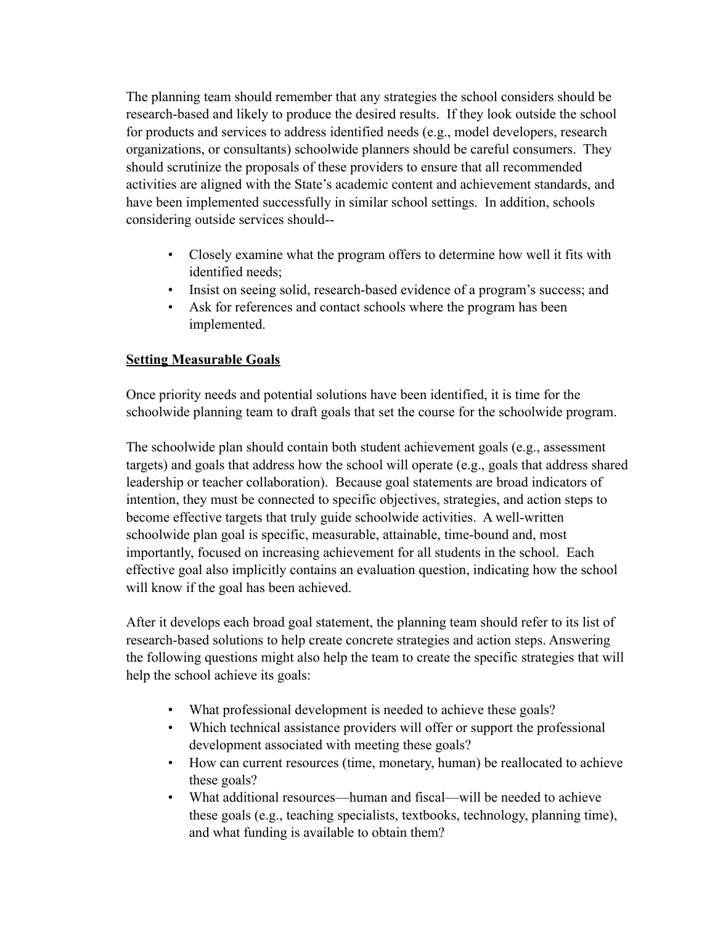The planning team should remember that any strategies the school considers should be research-based and likely to produce the desired results. If they look outside the school for products and services to address identified needs (e.g., model developers, research organizations, or consultants) schoolwide planners should be careful consumers. They should scrutinize the proposals of these providers to ensure that all recommended activities are aligned with the State's academic content and achievement standards, and have been implemented successfully in similar school settings. In addition, schools considering outside services should--

- Closely examine what the program offers to determine how well it fits with identified needs;
- Insist on seeing solid, research-based evidence of a program's success; and
- Ask for references and contact schools where the program has been implemented.

## **Setting Measurable Goals**

Once priority needs and potential solutions have been identified, it is time for the schoolwide planning team to draft goals that set the course for the schoolwide program.

The schoolwide plan should contain both student achievement goals (e.g., assessment targets) and goals that address how the school will operate (e.g., goals that address shared leadership or teacher collaboration). Because goal statements are broad indicators of intention, they must be connected to specific objectives, strategies, and action steps to become effective targets that truly guide schoolwide activities. A well-written schoolwide plan goal is specific, measurable, attainable, time-bound and, most importantly, focused on increasing achievement for all students in the school. Each effective goal also implicitly contains an evaluation question, indicating how the school will know if the goal has been achieved.

After it develops each broad goal statement, the planning team should refer to its list of research-based solutions to help create concrete strategies and action steps. Answering the following questions might also help the team to create the specific strategies that will help the school achieve its goals:

- What professional development is needed to achieve these goals?
- Which technical assistance providers will offer or support the professional development associated with meeting these goals?
- How can current resources (time, monetary, human) be reallocated to achieve these goals?
- What additional resources—human and fiscal—will be needed to achieve these goals (e.g., teaching specialists, textbooks, technology, planning time), and what funding is available to obtain them?